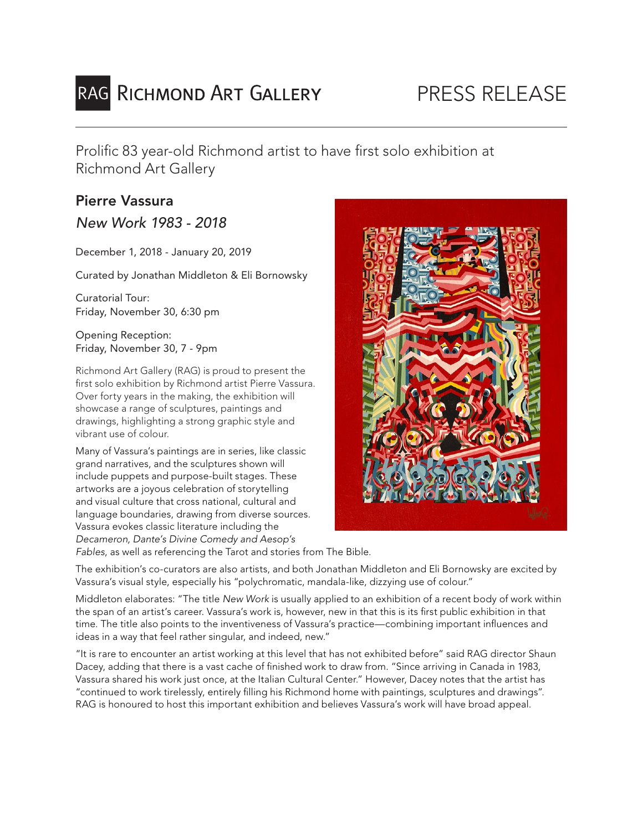# RAG RICHMOND ART GALLERY

## PRESS RELEASE

Prolific 83 year-old Richmond artist to have first solo exhibition at Richmond Art Gallery

## Pierre Vassura

*New Work 1983 - 2018*

December 1, 2018 - January 20, 2019

Curated by Jonathan Middleton & Eli Bornowsky

Curatorial Tour: Friday, November 30, 6:30 pm

Opening Reception: Friday, November 30, 7 - 9pm

Richmond Art Gallery (RAG) is proud to present the first solo exhibition by Richmond artist Pierre Vassura. Over forty years in the making, the exhibition will showcase a range of sculptures, paintings and drawings, highlighting a strong graphic style and vibrant use of colour.

Many of Vassura's paintings are in series, like classic grand narratives, and the sculptures shown will include puppets and purpose-built stages. These artworks are a joyous celebration of storytelling and visual culture that cross national, cultural and language boundaries, drawing from diverse sources. Vassura evokes classic literature including the *Decameron, Dante's Divine Comedy and Aesop's Fables*, as well as referencing the Tarot and stories from The Bible.



The exhibition's co-curators are also artists, and both Jonathan Middleton and Eli Bornowsky are excited by Vassura's visual style, especially his "polychromatic, mandala-like, dizzying use of colour."

Middleton elaborates: "The title *New Work* is usually applied to an exhibition of a recent body of work within the span of an artist's career. Vassura's work is, however, new in that this is its first public exhibition in that time. The title also points to the inventiveness of Vassura's practice—combining important influences and ideas in a way that feel rather singular, and indeed, new."

"It is rare to encounter an artist working at this level that has not exhibited before" said RAG director Shaun Dacey, adding that there is a vast cache of finished work to draw from. "Since arriving in Canada in 1983, Vassura shared his work just once, at the Italian Cultural Center." However, Dacey notes that the artist has "continued to work tirelessly, entirely filling his Richmond home with paintings, sculptures and drawings". RAG is honoured to host this important exhibition and believes Vassura's work will have broad appeal.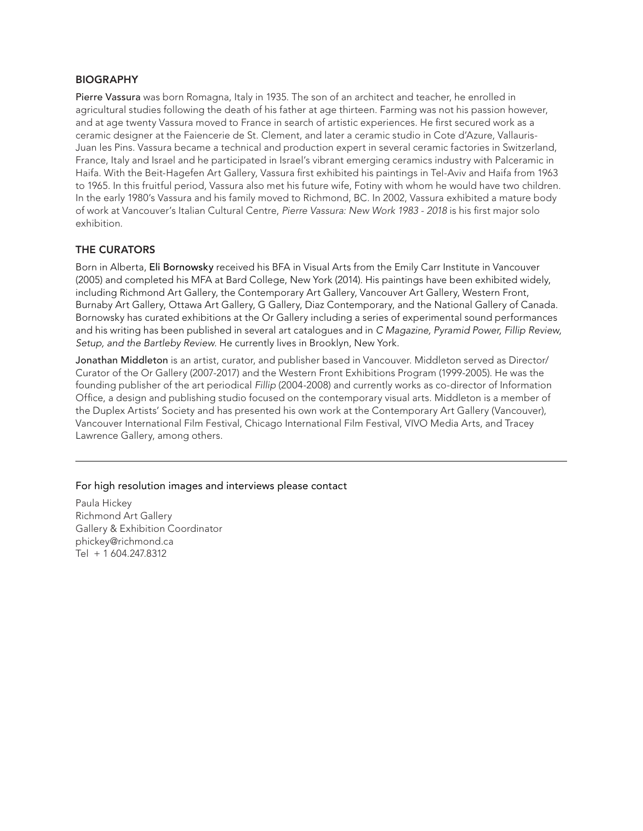#### BIOGRAPHY

Pierre Vassura was born Romagna, Italy in 1935. The son of an architect and teacher, he enrolled in agricultural studies following the death of his father at age thirteen. Farming was not his passion however, and at age twenty Vassura moved to France in search of artistic experiences. He first secured work as a ceramic designer at the Faiencerie de St. Clement, and later a ceramic studio in Cote d'Azure, Vallauris-Juan les Pins. Vassura became a technical and production expert in several ceramic factories in Switzerland, France, Italy and Israel and he participated in Israel's vibrant emerging ceramics industry with Palceramic in Haifa. With the Beit-Hagefen Art Gallery, Vassura first exhibited his paintings in Tel-Aviv and Haifa from 1963 to 1965. In this fruitful period, Vassura also met his future wife, Fotiny with whom he would have two children. In the early 1980's Vassura and his family moved to Richmond, BC. In 2002, Vassura exhibited a mature body of work at Vancouver's Italian Cultural Centre, *Pierre Vassura: New Work 1983 - 2018* is his first major solo exhibition.

#### THE CURATORS

Born in Alberta, Eli Bornowsky received his BFA in Visual Arts from the Emily Carr Institute in Vancouver (2005) and completed his MFA at Bard College, New York (2014). His paintings have been exhibited widely, including Richmond Art Gallery, the Contemporary Art Gallery, Vancouver Art Gallery, Western Front, Burnaby Art Gallery, Ottawa Art Gallery, G Gallery, Diaz Contemporary, and the National Gallery of Canada. Bornowsky has curated exhibitions at the Or Gallery including a series of experimental sound performances and his writing has been published in several art catalogues and in *C Magazine, Pyramid Power, Fillip Review, Setup, and the Bartleby Review*. He currently lives in Brooklyn, New York.

Jonathan Middleton is an artist, curator, and publisher based in Vancouver. Middleton served as Director/ Curator of the Or Gallery (2007-2017) and the Western Front Exhibitions Program (1999-2005). He was the founding publisher of the art periodical *Fillip* (2004-2008) and currently works as co-director of Information Office, a design and publishing studio focused on the contemporary visual arts. Middleton is a member of the Duplex Artists' Society and has presented his own work at the Contemporary Art Gallery (Vancouver), Vancouver International Film Festival, Chicago International Film Festival, VIVO Media Arts, and Tracey Lawrence Gallery, among others.

#### For high resolution images and interviews please contact

Paula Hickey Richmond Art Gallery Gallery & Exhibition Coordinator phickey@richmond.ca Tel + 1 604.247.8312